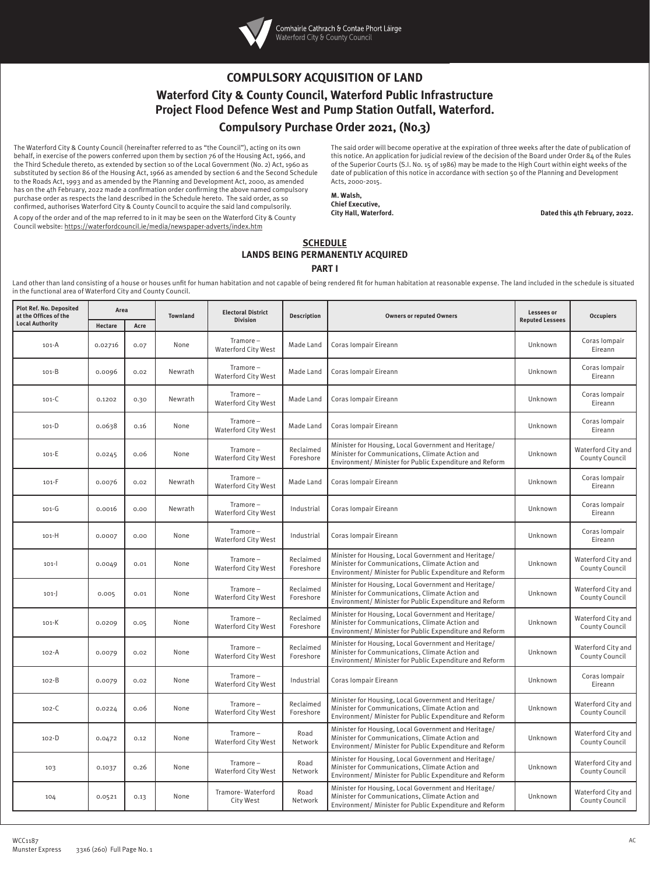

## **COMPULSORY ACQUISITION OF LAND Waterford City & County Council, Waterford Public Infrastructure Project Flood Defence West and Pump Station Outfall, Waterford. Compulsory Purchase Order 2021, (No.3)**

The Waterford City & County Council (hereinafter referred to as "the Council"), acting on its own behalf, in exercise of the powers conferred upon them by section 76 of the Housing Act, 1966, and the Third Schedule thereto, as extended by section 10 of the Local Government (No. 2) Act, 1960 as substituted by section 86 of the Housing Act, 1966 as amended by section 6 and the Second Schedule to the Roads Act, 1993 and as amended by the Planning and Development Act, 2000, as amended has on the 4th February, 2022 made a confirmation order confirming the above named compulsory purchase order as respects the land described in the Schedule hereto. The said order, as so confirmed, authorises Waterford City & County Council to acquire the said land compulsorily. A copy of the order and of the map referred to in it may be seen on the Waterford City & County

Council website: https://waterfordcouncil.ie/media/newspaper-adverts/index.htm

The said order will become operative at the expiration of three weeks after the date of publication of this notice. An application for judicial review of the decision of the Board under Order 84 of the Rules of the Superior Courts (S.I. No. 15 of 1986) may be made to the High Court within eight weeks of the date of publication of this notice in accordance with section 50 of the Planning and Development Acts, 2000-2015.

## **M. Walsh, Chief Executive,**

Dated this 4th February, 2022.

## **SCHEDULE LANDS BEING PERMANENTLY ACQUIRED PART I**

Land other than land consisting of a house or houses unfit for human habitation and not capable of being rendered fit for human habitation at reasonable expense. The land included in the schedule is situated in the functional area of Waterford City and County Council.

| <b>Plot Ref. No. Deposited</b><br>at the Offices of the<br><b>Local Authority</b> | Area    |      | <b>Townland</b> | <b>Electoral District</b>                | <b>Description</b>     | <b>Owners or reputed Owners</b>                                                                                                                                    | Lessees or             | <b>Occupiers</b>                     |
|-----------------------------------------------------------------------------------|---------|------|-----------------|------------------------------------------|------------------------|--------------------------------------------------------------------------------------------------------------------------------------------------------------------|------------------------|--------------------------------------|
|                                                                                   | Hectare | Acre |                 | <b>Division</b>                          |                        |                                                                                                                                                                    | <b>Reputed Lessees</b> |                                      |
| 101-A                                                                             | 0.02716 | 0.07 | None            | $Tramore-$<br>Waterford City West        | Made Land              | Coras Iompair Eireann                                                                                                                                              | Unknown                | Coras lompair<br>Eireann             |
| 101-B                                                                             | 0.0096  | 0.02 | Newrath         | $Tramore-$<br><b>Waterford City West</b> | Made Land              | Coras Iompair Eireann                                                                                                                                              | Unknown                | Coras Iompair<br>Eireann             |
| $101 - C$                                                                         | 0.1202  | 0.30 | Newrath         | $Tramore-$<br>Waterford City West        | Made Land              | Coras Iompair Eireann                                                                                                                                              | Unknown                | Coras Iompair<br>Eireann             |
| $101 - D$                                                                         | 0.0638  | 0.16 | None            | $Tramore-$<br><b>Waterford City West</b> | Made Land              | Coras Iompair Eireann                                                                                                                                              | Unknown                | Coras Iompair<br>Eireann             |
| $101-E$                                                                           | 0.0245  | 0.06 | None            | $Tramore-$<br><b>Waterford City West</b> | Reclaimed<br>Foreshore | Minister for Housing, Local Government and Heritage/<br>Minister for Communications, Climate Action and<br>Environment/ Minister for Public Expenditure and Reform | Unknown                | Waterford City and<br>County Council |
| $101-F$                                                                           | 0.0076  | 0.02 | Newrath         | Tramore-<br><b>Waterford City West</b>   | Made Land              | Coras Iompair Eireann                                                                                                                                              | Unknown                | Coras lompair<br>Eireann             |
| $101 - G$                                                                         | 0.0016  | 0.00 | Newrath         | $Tramore-$<br>Waterford City West        | Industrial             | Coras Iompair Eireann                                                                                                                                              | Unknown                | Coras Iompair<br>Eireann             |
| $101-H$                                                                           | 0.0007  | 0.00 | None            | $Tramore-$<br><b>Waterford City West</b> | Industrial             | Coras Iompair Eireann                                                                                                                                              | Unknown                | Coras lompair<br>Eireann             |
| $101 -$                                                                           | 0.0049  | 0.01 | None            | $Tramore-$<br>Waterford City West        | Reclaimed<br>Foreshore | Minister for Housing, Local Government and Heritage/<br>Minister for Communications, Climate Action and<br>Environment/ Minister for Public Expenditure and Reform | Unknown                | Waterford City and<br>County Council |
| $101 -$                                                                           | 0.005   | 0.01 | None            | $Tramore-$<br><b>Waterford City West</b> | Reclaimed<br>Foreshore | Minister for Housing, Local Government and Heritage/<br>Minister for Communications, Climate Action and<br>Environment/ Minister for Public Expenditure and Reform | Unknown                | Waterford City and<br>County Council |
| $101-K$                                                                           | 0.0209  | 0.05 | None            | $Tramore-$<br><b>Waterford City West</b> | Reclaimed<br>Foreshore | Minister for Housing, Local Government and Heritage/<br>Minister for Communications, Climate Action and<br>Environment/ Minister for Public Expenditure and Reform | Unknown                | Waterford City and<br>County Council |
| 102-A                                                                             | 0.0079  | 0.02 | None            | $Tramore-$<br><b>Waterford City West</b> | Reclaimed<br>Foreshore | Minister for Housing, Local Government and Heritage/<br>Minister for Communications, Climate Action and<br>Environment/ Minister for Public Expenditure and Reform | Unknown                | Waterford City and<br>County Council |
| $102 - B$                                                                         | 0.0079  | 0.02 | None            | $Tramore-$<br>Waterford City West        | Industrial             | Coras Iompair Eireann                                                                                                                                              | Unknown                | Coras lompair<br>Eireann             |
| $102 - C$                                                                         | 0.0224  | 0.06 | None            | Tramore-<br>Waterford City West          | Reclaimed<br>Foreshore | Minister for Housing, Local Government and Heritage/<br>Minister for Communications, Climate Action and<br>Environment/ Minister for Public Expenditure and Reform | Unknown                | Waterford City and<br>County Council |
| $102 - D$                                                                         | 0.0472  | 0.12 | None            | Tramore-<br>Waterford City West          | Road<br>Network        | Minister for Housing, Local Government and Heritage/<br>Minister for Communications, Climate Action and<br>Environment/ Minister for Public Expenditure and Reform | Unknown                | Waterford City and<br>County Council |
| 103                                                                               | 0.1037  | 0.26 | None            | Tramore-<br>Waterford City West          | Road<br>Network        | Minister for Housing, Local Government and Heritage/<br>Minister for Communications, Climate Action and<br>Environment/ Minister for Public Expenditure and Reform | Unknown                | Waterford City and<br>County Council |
| 104                                                                               | 0.0521  | 0.13 | None            | Tramore-Waterford<br>City West           | Road<br>Network        | Minister for Housing, Local Government and Heritage/<br>Minister for Communications, Climate Action and<br>Environment/ Minister for Public Expenditure and Reform | Unknown                | Waterford City and<br>County Council |